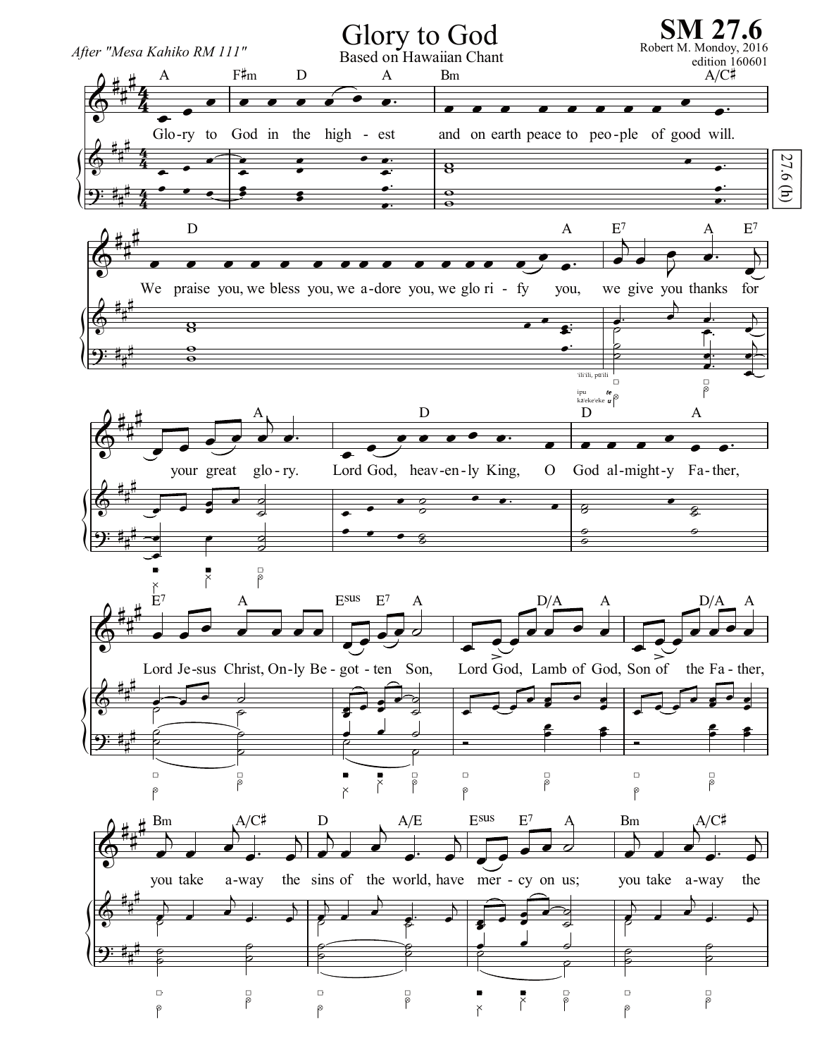